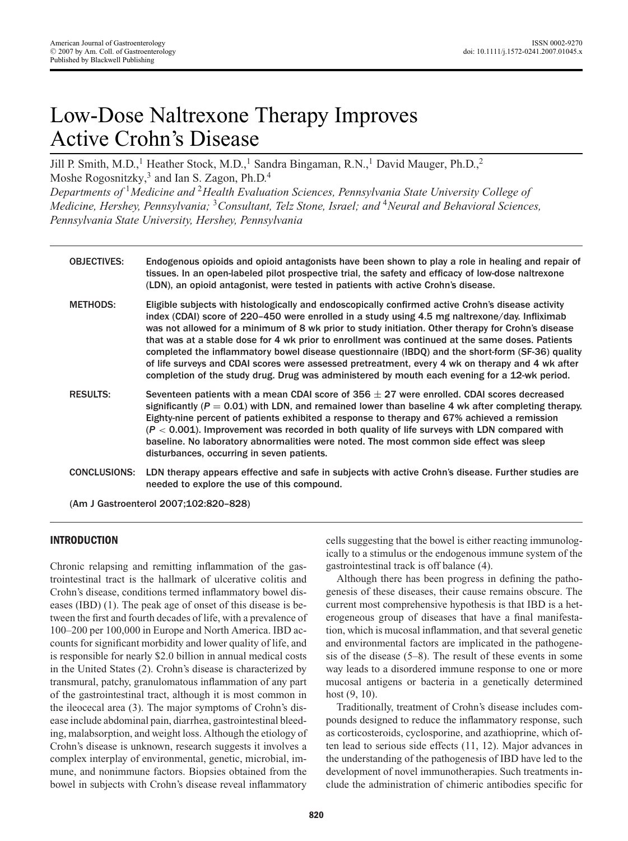# Low-Dose Naltrexone Therapy Improves Active Crohn's Disease

Jill P. Smith, M.D.,<sup>1</sup> Heather Stock, M.D.,<sup>1</sup> Sandra Bingaman, R.N.,<sup>1</sup> David Mauger, Ph.D.,<sup>2</sup> Moshe Rogosnitzky, $3$  and Ian S. Zagon, Ph.D. $4$ *Departments of* <sup>1</sup>*Medicine and* <sup>2</sup>*Health Evaluation Sciences, Pennsylvania State University College of*

*Medicine, Hershey, Pennsylvania;* <sup>3</sup>*Consultant, Telz Stone, Israel; and* <sup>4</sup>*Neural and Behavioral Sciences, Pennsylvania State University, Hershey, Pennsylvania*

| <b>OBJECTIVES:</b>  | Endogenous opioids and opioid antagonists have been shown to play a role in healing and repair of<br>tissues. In an open-labeled pilot prospective trial, the safety and efficacy of low-dose naltrexone<br>(LDN), an opioid antagonist, were tested in patients with active Crohn's disease.                                                                                                                                                                                                                                                                                                                                                                                                                           |
|---------------------|-------------------------------------------------------------------------------------------------------------------------------------------------------------------------------------------------------------------------------------------------------------------------------------------------------------------------------------------------------------------------------------------------------------------------------------------------------------------------------------------------------------------------------------------------------------------------------------------------------------------------------------------------------------------------------------------------------------------------|
| <b>METHODS:</b>     | Eligible subjects with histologically and endoscopically confirmed active Crohn's disease activity<br>index (CDAI) score of 220-450 were enrolled in a study using 4.5 mg naltrexone/day. Infliximab<br>was not allowed for a minimum of 8 wk prior to study initiation. Other therapy for Crohn's disease<br>that was at a stable dose for 4 wk prior to enrollment was continued at the same doses. Patients<br>completed the inflammatory bowel disease questionnaire (IBDQ) and the short-form (SF-36) quality<br>of life surveys and CDAI scores were assessed pretreatment, every 4 wk on therapy and 4 wk after<br>completion of the study drug. Drug was administered by mouth each evening for a 12-wk period. |
| <b>RESULTS:</b>     | Seventeen patients with a mean CDAI score of 356 $\pm$ 27 were enrolled. CDAI scores decreased<br>significantly ( $P = 0.01$ ) with LDN, and remained lower than baseline 4 wk after completing therapy.<br>Eighty-nine percent of patients exhibited a response to therapy and 67% achieved a remission<br>$(P < 0.001)$ . Improvement was recorded in both quality of life surveys with LDN compared with<br>baseline. No laboratory abnormalities were noted. The most common side effect was sleep<br>disturbances, occurring in seven patients.                                                                                                                                                                    |
| <b>CONCLUSIONS:</b> | LDN therapy appears effective and safe in subjects with active Crohn's disease. Further studies are<br>needed to explore the use of this compound.                                                                                                                                                                                                                                                                                                                                                                                                                                                                                                                                                                      |
|                     |                                                                                                                                                                                                                                                                                                                                                                                                                                                                                                                                                                                                                                                                                                                         |

(Am J Gastroenterol 2007;102:820–828)

# **INTRODUCTION**

Chronic relapsing and remitting inflammation of the gastrointestinal tract is the hallmark of ulcerative colitis and Crohn's disease, conditions termed inflammatory bowel diseases (IBD) (1). The peak age of onset of this disease is between the first and fourth decades of life, with a prevalence of 100–200 per 100,000 in Europe and North America. IBD accounts for significant morbidity and lower quality of life, and is responsible for nearly \$2.0 billion in annual medical costs in the United States (2). Crohn's disease is characterized by transmural, patchy, granulomatous inflammation of any part of the gastrointestinal tract, although it is most common in the ileocecal area (3). The major symptoms of Crohn's disease include abdominal pain, diarrhea, gastrointestinal bleeding, malabsorption, and weight loss. Although the etiology of Crohn's disease is unknown, research suggests it involves a complex interplay of environmental, genetic, microbial, immune, and nonimmune factors. Biopsies obtained from the bowel in subjects with Crohn's disease reveal inflammatory cells suggesting that the bowel is either reacting immunologically to a stimulus or the endogenous immune system of the gastrointestinal track is off balance (4).

Although there has been progress in defining the pathogenesis of these diseases, their cause remains obscure. The current most comprehensive hypothesis is that IBD is a heterogeneous group of diseases that have a final manifestation, which is mucosal inflammation, and that several genetic and environmental factors are implicated in the pathogenesis of the disease (5–8). The result of these events in some way leads to a disordered immune response to one or more mucosal antigens or bacteria in a genetically determined host (9, 10).

Traditionally, treatment of Crohn's disease includes compounds designed to reduce the inflammatory response, such as corticosteroids, cyclosporine, and azathioprine, which often lead to serious side effects (11, 12). Major advances in the understanding of the pathogenesis of IBD have led to the development of novel immunotherapies. Such treatments include the administration of chimeric antibodies specific for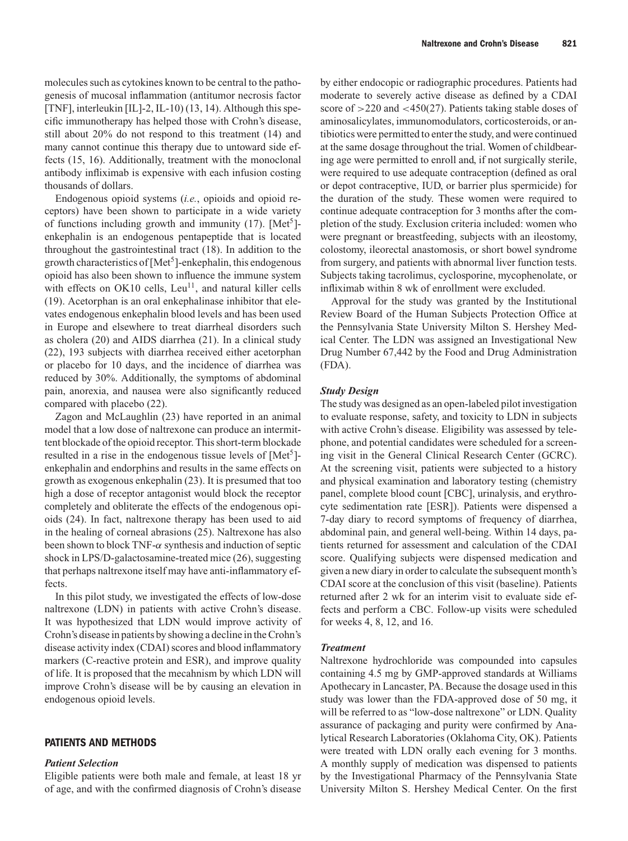molecules such as cytokines known to be central to the pathogenesis of mucosal inflammation (antitumor necrosis factor [TNF], interleukin  $[IL]$ -2,  $IL$ -10) (13, 14). Although this specific immunotherapy has helped those with Crohn's disease, still about 20% do not respond to this treatment (14) and many cannot continue this therapy due to untoward side effects (15, 16). Additionally, treatment with the monoclonal antibody infliximab is expensive with each infusion costing thousands of dollars.

Endogenous opioid systems (*i.e.*, opioids and opioid receptors) have been shown to participate in a wide variety of functions including growth and immunity  $(17)$ . [Met<sup>5</sup>]enkephalin is an endogenous pentapeptide that is located throughout the gastrointestinal tract (18). In addition to the growth characteristics of  $[Met<sup>5</sup>]$ -enkephalin, this endogenous opioid has also been shown to influence the immune system with effects on OK10 cells, Leu<sup>11</sup>, and natural killer cells (19). Acetorphan is an oral enkephalinase inhibitor that elevates endogenous enkephalin blood levels and has been used in Europe and elsewhere to treat diarrheal disorders such as cholera (20) and AIDS diarrhea (21). In a clinical study (22), 193 subjects with diarrhea received either acetorphan or placebo for 10 days, and the incidence of diarrhea was reduced by 30%. Additionally, the symptoms of abdominal pain, anorexia, and nausea were also significantly reduced compared with placebo (22).

Zagon and McLaughlin (23) have reported in an animal model that a low dose of naltrexone can produce an intermittent blockade of the opioid receptor. This short-term blockade resulted in a rise in the endogenous tissue levels of  $[Met<sup>5</sup>]$ enkephalin and endorphins and results in the same effects on growth as exogenous enkephalin (23). It is presumed that too high a dose of receptor antagonist would block the receptor completely and obliterate the effects of the endogenous opioids (24). In fact, naltrexone therapy has been used to aid in the healing of corneal abrasions (25). Naltrexone has also been shown to block TNF- $\alpha$  synthesis and induction of septic shock in LPS/D-galactosamine-treated mice (26), suggesting that perhaps naltrexone itself may have anti-inflammatory effects.

In this pilot study, we investigated the effects of low-dose naltrexone (LDN) in patients with active Crohn's disease. It was hypothesized that LDN would improve activity of Crohn's disease in patients by showing a decline in the Crohn's disease activity index (CDAI) scores and blood inflammatory markers (C-reactive protein and ESR), and improve quality of life. It is proposed that the mecahnism by which LDN will improve Crohn's disease will be by causing an elevation in endogenous opioid levels.

# **PATIENTS AND METHODS**

#### *Patient Selection*

Eligible patients were both male and female, at least 18 yr of age, and with the confirmed diagnosis of Crohn's disease by either endocopic or radiographic procedures. Patients had moderate to severely active disease as defined by a CDAI score of >220 and <450(27). Patients taking stable doses of aminosalicylates, immunomodulators, corticosteroids, or antibiotics were permitted to enter the study, and were continued at the same dosage throughout the trial. Women of childbearing age were permitted to enroll and, if not surgically sterile, were required to use adequate contraception (defined as oral or depot contraceptive, IUD, or barrier plus spermicide) for the duration of the study. These women were required to continue adequate contraception for 3 months after the completion of the study. Exclusion criteria included: women who were pregnant or breastfeeding, subjects with an ileostomy, colostomy, ileorectal anastomosis, or short bowel syndrome from surgery, and patients with abnormal liver function tests. Subjects taking tacrolimus, cyclosporine, mycophenolate, or infliximab within 8 wk of enrollment were excluded.

Approval for the study was granted by the Institutional Review Board of the Human Subjects Protection Office at the Pennsylvania State University Milton S. Hershey Medical Center. The LDN was assigned an Investigational New Drug Number 67,442 by the Food and Drug Administration (FDA).

#### *Study Design*

The study was designed as an open-labeled pilot investigation to evaluate response, safety, and toxicity to LDN in subjects with active Crohn's disease. Eligibility was assessed by telephone, and potential candidates were scheduled for a screening visit in the General Clinical Research Center (GCRC). At the screening visit, patients were subjected to a history and physical examination and laboratory testing (chemistry panel, complete blood count [CBC], urinalysis, and erythrocyte sedimentation rate [ESR]). Patients were dispensed a 7-day diary to record symptoms of frequency of diarrhea, abdominal pain, and general well-being. Within 14 days, patients returned for assessment and calculation of the CDAI score. Qualifying subjects were dispensed medication and given a new diary in order to calculate the subsequent month's CDAI score at the conclusion of this visit (baseline). Patients returned after 2 wk for an interim visit to evaluate side effects and perform a CBC. Follow-up visits were scheduled for weeks 4, 8, 12, and 16.

## *Treatment*

Naltrexone hydrochloride was compounded into capsules containing 4.5 mg by GMP-approved standards at Williams Apothecary in Lancaster, PA. Because the dosage used in this study was lower than the FDA-approved dose of 50 mg, it will be referred to as "low-dose naltrexone" or LDN. Quality assurance of packaging and purity were confirmed by Analytical Research Laboratories (Oklahoma City, OK). Patients were treated with LDN orally each evening for 3 months. A monthly supply of medication was dispensed to patients by the Investigational Pharmacy of the Pennsylvania State University Milton S. Hershey Medical Center. On the first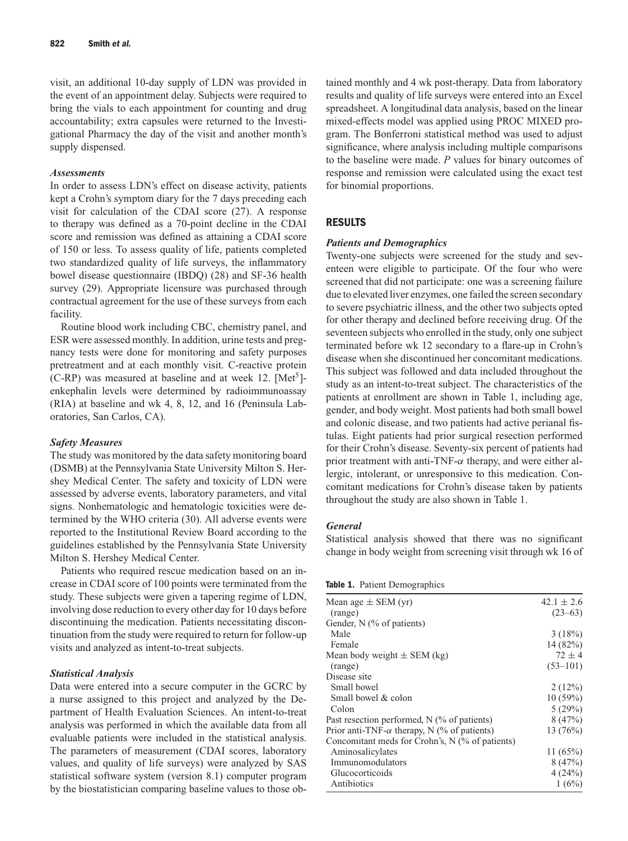visit, an additional 10-day supply of LDN was provided in the event of an appointment delay. Subjects were required to bring the vials to each appointment for counting and drug accountability; extra capsules were returned to the Investigational Pharmacy the day of the visit and another month's supply dispensed.

#### *Assessments*

In order to assess LDN's effect on disease activity, patients kept a Crohn's symptom diary for the 7 days preceding each visit for calculation of the CDAI score (27). A response to therapy was defined as a 70-point decline in the CDAI score and remission was defined as attaining a CDAI score of 150 or less. To assess quality of life, patients completed two standardized quality of life surveys, the inflammatory bowel disease questionnaire (IBDQ) (28) and SF-36 health survey (29). Appropriate licensure was purchased through contractual agreement for the use of these surveys from each facility.

Routine blood work including CBC, chemistry panel, and ESR were assessed monthly. In addition, urine tests and pregnancy tests were done for monitoring and safety purposes pretreatment and at each monthly visit. C-reactive protein  $(C-RP)$  was measured at baseline and at week 12. [Met<sup>5</sup>]enkephalin levels were determined by radioimmunoassay (RIA) at baseline and wk 4, 8, 12, and 16 (Peninsula Laboratories, San Carlos, CA).

#### *Safety Measures*

The study was monitored by the data safety monitoring board (DSMB) at the Pennsylvania State University Milton S. Hershey Medical Center. The safety and toxicity of LDN were assessed by adverse events, laboratory parameters, and vital signs. Nonhematologic and hematologic toxicities were determined by the WHO criteria (30). All adverse events were reported to the Institutional Review Board according to the guidelines established by the Pennsylvania State University Milton S. Hershey Medical Center.

Patients who required rescue medication based on an increase in CDAI score of 100 points were terminated from the study. These subjects were given a tapering regime of LDN, involving dose reduction to every other day for 10 days before discontinuing the medication. Patients necessitating discontinuation from the study were required to return for follow-up visits and analyzed as intent-to-treat subjects.

#### *Statistical Analysis*

Data were entered into a secure computer in the GCRC by a nurse assigned to this project and analyzed by the Department of Health Evaluation Sciences. An intent-to-treat analysis was performed in which the available data from all evaluable patients were included in the statistical analysis. The parameters of measurement (CDAI scores, laboratory values, and quality of life surveys) were analyzed by SAS statistical software system (version 8.1) computer program by the biostatistician comparing baseline values to those obtained monthly and 4 wk post-therapy. Data from laboratory results and quality of life surveys were entered into an Excel spreadsheet. A longitudinal data analysis, based on the linear mixed-effects model was applied using PROC MIXED program. The Bonferroni statistical method was used to adjust significance, where analysis including multiple comparisons to the baseline were made. *P* values for binary outcomes of response and remission were calculated using the exact test for binomial proportions.

### **RESULTS**

#### *Patients and Demographics*

Twenty-one subjects were screened for the study and seventeen were eligible to participate. Of the four who were screened that did not participate: one was a screening failure due to elevated liver enzymes, one failed the screen secondary to severe psychiatric illness, and the other two subjects opted for other therapy and declined before receiving drug. Of the seventeen subjects who enrolled in the study, only one subject terminated before wk 12 secondary to a flare-up in Crohn's disease when she discontinued her concomitant medications. This subject was followed and data included throughout the study as an intent-to-treat subject. The characteristics of the patients at enrollment are shown in Table 1, including age, gender, and body weight. Most patients had both small bowel and colonic disease, and two patients had active perianal fistulas. Eight patients had prior surgical resection performed for their Crohn's disease. Seventy-six percent of patients had prior treatment with anti-TNF- $\alpha$  therapy, and were either allergic, intolerant, or unresponsive to this medication. Concomitant medications for Crohn's disease taken by patients throughout the study are also shown in Table 1.

## *General*

Statistical analysis showed that there was no significant change in body weight from screening visit through wk 16 of

**Table 1.** Patient Demographics

| Mean age $\pm$ SEM (yr)                             | $42.1 \pm 2.6$ |
|-----------------------------------------------------|----------------|
| (range)                                             | $(23-63)$      |
| Gender, $N$ (% of patients)                         |                |
| Male                                                | 3(18%)         |
| Female                                              | 14(82%)        |
| Mean body weight $\pm$ SEM (kg)                     | $72 + 4$       |
| (range)                                             | $(53 - 101)$   |
| Disease site                                        |                |
| Small bowel                                         | 2(12%)         |
| Small bowel & colon                                 | 10(59%)        |
| Colon                                               | 5(29%)         |
| Past resection performed, $N$ (% of patients)       | 8(47%)         |
| Prior anti-TNF- $\alpha$ therapy, N (% of patients) | 13 $(76%)$     |
| Concomitant meds for Crohn's, N (% of patients)     |                |
| Aminosalicylates                                    | 11(65%)        |
| Immunomodulators                                    | 8(47%)         |
| Glucocorticoids                                     | 4(24%)         |
| Antibiotics                                         | 1(6%)          |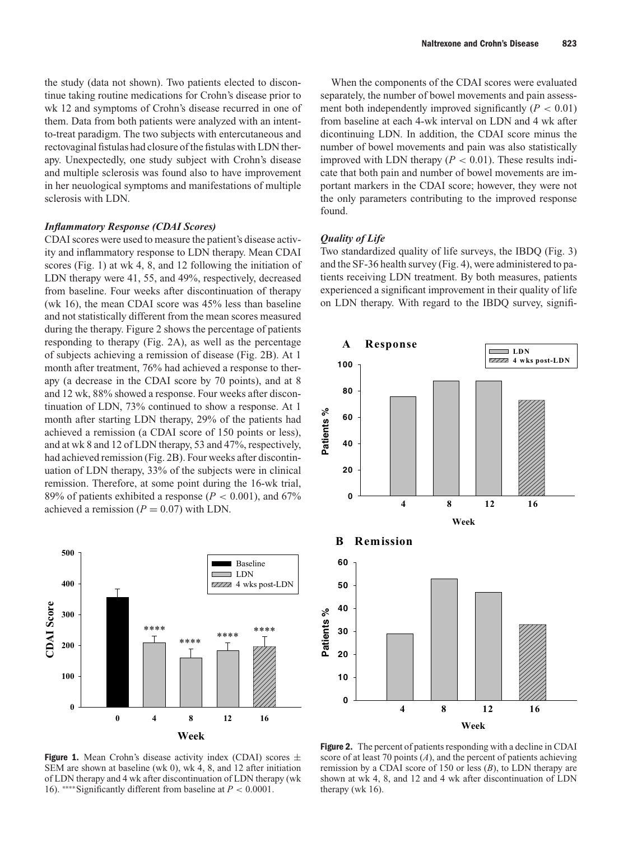the study (data not shown). Two patients elected to discontinue taking routine medications for Crohn's disease prior to wk 12 and symptoms of Crohn's disease recurred in one of them. Data from both patients were analyzed with an intentto-treat paradigm. The two subjects with entercutaneous and rectovaginal fistulas had closure of the fistulas with LDN therapy. Unexpectedly, one study subject with Crohn's disease and multiple sclerosis was found also to have improvement in her neuological symptoms and manifestations of multiple sclerosis with LDN.

# *Inflammatory Response (CDAI Scores)*

CDAI scores were used to measure the patient's disease activity and inflammatory response to LDN therapy. Mean CDAI scores (Fig. 1) at wk 4, 8, and 12 following the initiation of LDN therapy were 41, 55, and 49%, respectively, decreased from baseline. Four weeks after discontinuation of therapy (wk 16), the mean CDAI score was 45% less than baseline and not statistically different from the mean scores measured during the therapy. Figure 2 shows the percentage of patients responding to therapy (Fig. 2A), as well as the percentage of subjects achieving a remission of disease (Fig. 2B). At 1 month after treatment, 76% had achieved a response to therapy (a decrease in the CDAI score by 70 points), and at 8 and 12 wk, 88% showed a response. Four weeks after discontinuation of LDN, 73% continued to show a response. At 1 month after starting LDN therapy, 29% of the patients had achieved a remission (a CDAI score of 150 points or less), and at wk 8 and 12 of LDN therapy, 53 and 47%, respectively, had achieved remission (Fig. 2B). Four weeks after discontinuation of LDN therapy, 33% of the subjects were in clinical remission. Therefore, at some point during the 16-wk trial, 89% of patients exhibited a response  $(P < 0.001)$ , and 67% achieved a remission  $(P = 0.07)$  with LDN.



**Figure 1.** Mean Crohn's disease activity index (CDAI) scores  $\pm$ SEM are shown at baseline (wk 0), wk 4, 8, and 12 after initiation of LDN therapy and 4 wk after discontinuation of LDN therapy (wk 16). ∗∗∗∗Significantly different from baseline at *P* < 0.0001.

When the components of the CDAI scores were evaluated separately, the number of bowel movements and pain assessment both independently improved significantly  $(P < 0.01)$ from baseline at each 4-wk interval on LDN and 4 wk after dicontinuing LDN. In addition, the CDAI score minus the number of bowel movements and pain was also statistically improved with LDN therapy  $(P < 0.01)$ . These results indicate that both pain and number of bowel movements are important markers in the CDAI score; however, they were not the only parameters contributing to the improved response found.

# *Quality of Life*

Two standardized quality of life surveys, the IBDQ (Fig. 3) and the SF-36 health survey (Fig. 4), were administered to patients receiving LDN treatment. By both measures, patients experienced a significant improvement in their quality of life on LDN therapy. With regard to the IBDQ survey, signifi-



**Figure 2.** The percent of patients responding with a decline in CDAI score of at least 70 points (*A*), and the percent of patients achieving remission by a CDAI score of 150 or less (*B*), to LDN therapy are shown at wk 4, 8, and 12 and 4 wk after discontinuation of LDN therapy (wk 16).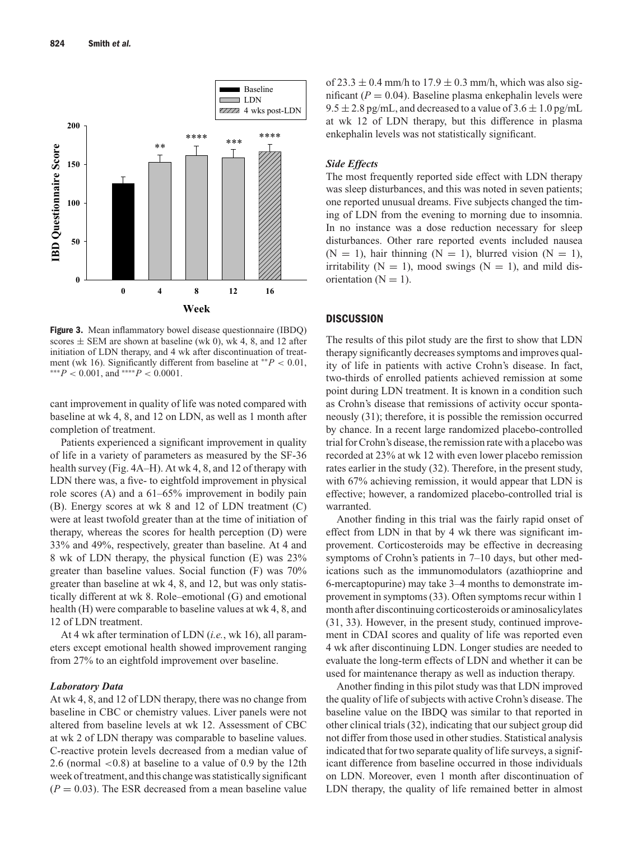

**Figure 3.** Mean inflammatory bowel disease questionnaire (IBDQ) scores  $\pm$  SEM are shown at baseline (wk 0), wk 4, 8, and 12 after initiation of LDN therapy, and 4 wk after discontinuation of treatment (wk 16). Significantly different from baseline at ∗∗*P* < 0.01, ∗∗∗*P* < 0.001, and ∗∗∗∗*P* < 0.0001.

cant improvement in quality of life was noted compared with baseline at wk 4, 8, and 12 on LDN, as well as 1 month after completion of treatment.

Patients experienced a significant improvement in quality of life in a variety of parameters as measured by the SF-36 health survey (Fig. 4A–H). At wk 4, 8, and 12 of therapy with LDN there was, a five- to eightfold improvement in physical role scores (A) and a 61–65% improvement in bodily pain (B). Energy scores at wk 8 and 12 of LDN treatment (C) were at least twofold greater than at the time of initiation of therapy, whereas the scores for health perception (D) were 33% and 49%, respectively, greater than baseline. At 4 and 8 wk of LDN therapy, the physical function (E) was 23% greater than baseline values. Social function (F) was 70% greater than baseline at wk 4, 8, and 12, but was only statistically different at wk 8. Role–emotional (G) and emotional health (H) were comparable to baseline values at wk 4, 8, and 12 of LDN treatment.

At 4 wk after termination of LDN (*i.e.*, wk 16), all parameters except emotional health showed improvement ranging from 27% to an eightfold improvement over baseline.

#### *Laboratory Data*

At wk 4, 8, and 12 of LDN therapy, there was no change from baseline in CBC or chemistry values. Liver panels were not altered from baseline levels at wk 12. Assessment of CBC at wk 2 of LDN therapy was comparable to baseline values. C-reactive protein levels decreased from a median value of 2.6 (normal <0.8) at baseline to a value of 0.9 by the 12th week of treatment, and this change was statistically significant  $(P = 0.03)$ . The ESR decreased from a mean baseline value of 23.3  $\pm$  0.4 mm/h to 17.9  $\pm$  0.3 mm/h, which was also significant ( $P = 0.04$ ). Baseline plasma enkephalin levels were  $9.5 \pm 2.8$  pg/mL, and decreased to a value of  $3.6 \pm 1.0$  pg/mL at wk 12 of LDN therapy, but this difference in plasma enkephalin levels was not statistically significant.

#### *Side Effects*

The most frequently reported side effect with LDN therapy was sleep disturbances, and this was noted in seven patients; one reported unusual dreams. Five subjects changed the timing of LDN from the evening to morning due to insomnia. In no instance was a dose reduction necessary for sleep disturbances. Other rare reported events included nausea  $(N = 1)$ , hair thinning  $(N = 1)$ , blurred vision  $(N = 1)$ , irritability ( $N = 1$ ), mood swings ( $N = 1$ ), and mild disorientation  $(N = 1)$ .

#### **DISCUSSION**

The results of this pilot study are the first to show that LDN therapy significantly decreases symptoms and improves quality of life in patients with active Crohn's disease. In fact, two-thirds of enrolled patients achieved remission at some point during LDN treatment. It is known in a condition such as Crohn's disease that remissions of activity occur spontaneously (31); therefore, it is possible the remission occurred by chance. In a recent large randomized placebo-controlled trial for Crohn's disease, the remission rate with a placebo was recorded at 23% at wk 12 with even lower placebo remission rates earlier in the study (32). Therefore, in the present study, with 67% achieving remission, it would appear that LDN is effective; however, a randomized placebo-controlled trial is warranted.

Another finding in this trial was the fairly rapid onset of effect from LDN in that by 4 wk there was significant improvement. Corticosteroids may be effective in decreasing symptoms of Crohn's patients in 7–10 days, but other medications such as the immunomodulators (azathioprine and 6-mercaptopurine) may take 3–4 months to demonstrate improvement in symptoms (33). Often symptoms recur within 1 month after discontinuing corticosteroids or aminosalicylates (31, 33). However, in the present study, continued improvement in CDAI scores and quality of life was reported even 4 wk after discontinuing LDN. Longer studies are needed to evaluate the long-term effects of LDN and whether it can be used for maintenance therapy as well as induction therapy.

Another finding in this pilot study was that LDN improved the quality of life of subjects with active Crohn's disease. The baseline value on the IBDQ was similar to that reported in other clinical trials (32), indicating that our subject group did not differ from those used in other studies. Statistical analysis indicated that for two separate quality of life surveys, a significant difference from baseline occurred in those individuals on LDN. Moreover, even 1 month after discontinuation of LDN therapy, the quality of life remained better in almost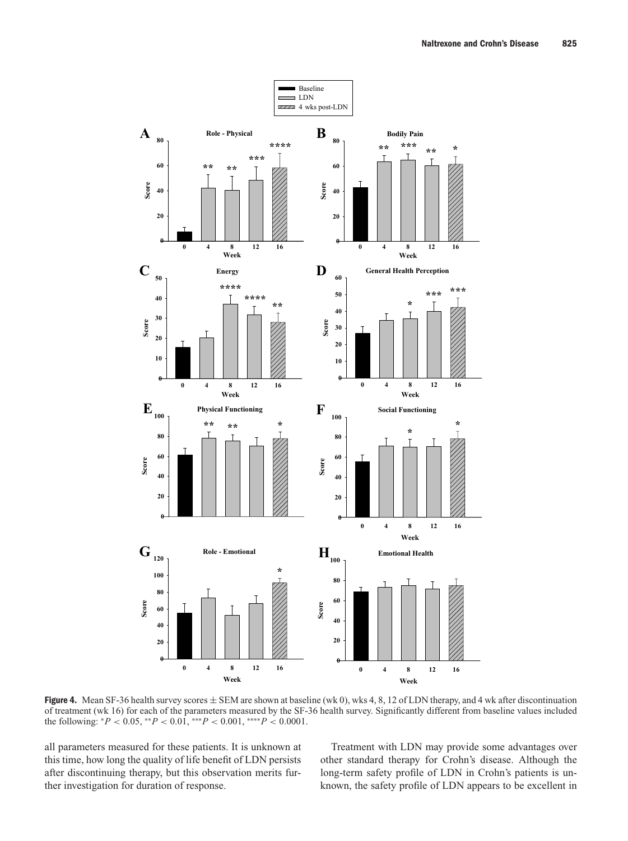

**Figure 4.** Mean SF-36 health survey scores  $\pm$  SEM are shown at baseline (wk 0), wks 4, 8, 12 of LDN therapy, and 4 wk after discontinuation of treatment (wk 16) for each of the parameters measured by the SF-36 health survey. Significantly different from baseline values included the following: \* $P < 0.05$ , \*\* $P < 0.01$ , \*\*\* $P < 0.001$ , \*\*\* $P < 0.0001$ .

all parameters measured for these patients. It is unknown at this time, how long the quality of life benefit of LDN persists after discontinuing therapy, but this observation merits further investigation for duration of response.

Treatment with LDN may provide some advantages over other standard therapy for Crohn's disease. Although the long-term safety profile of LDN in Crohn's patients is unknown, the safety profile of LDN appears to be excellent in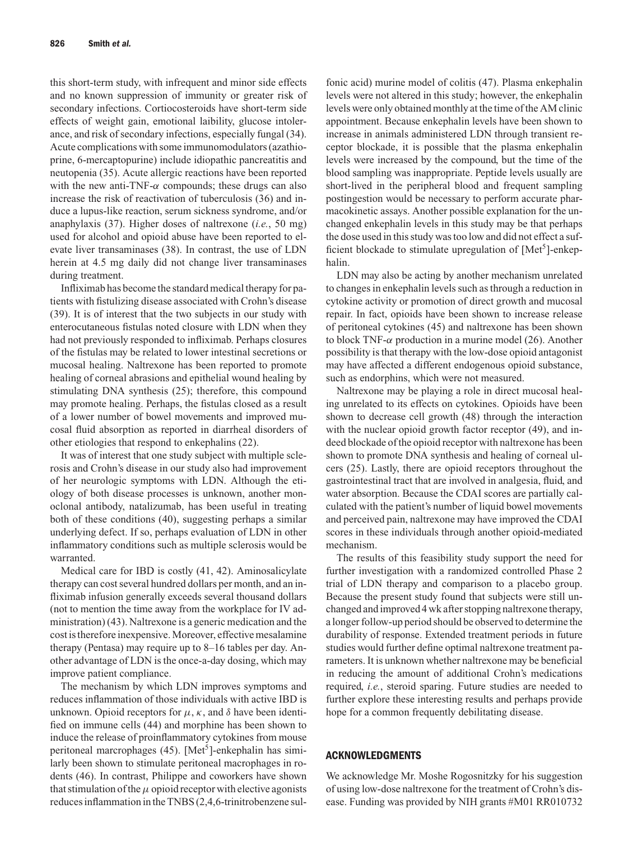this short-term study, with infrequent and minor side effects and no known suppression of immunity or greater risk of secondary infections. Cortiocosteroids have short-term side effects of weight gain, emotional laibility, glucose intolerance, and risk of secondary infections, especially fungal (34). Acute complications with some immunomodulators (azathioprine, 6-mercaptopurine) include idiopathic pancreatitis and neutopenia (35). Acute allergic reactions have been reported with the new anti-TNF- $\alpha$  compounds; these drugs can also increase the risk of reactivation of tuberculosis (36) and induce a lupus-like reaction, serum sickness syndrome, and/or anaphylaxis (37). Higher doses of naltrexone (*i.e.*, 50 mg) used for alcohol and opioid abuse have been reported to elevate liver transaminases (38). In contrast, the use of LDN herein at 4.5 mg daily did not change liver transaminases during treatment.

Infliximab has become the standard medical therapy for patients with fistulizing disease associated with Crohn's disease (39). It is of interest that the two subjects in our study with enterocutaneous fistulas noted closure with LDN when they had not previously responded to infliximab. Perhaps closures of the fistulas may be related to lower intestinal secretions or mucosal healing. Naltrexone has been reported to promote healing of corneal abrasions and epithelial wound healing by stimulating DNA synthesis (25); therefore, this compound may promote healing. Perhaps, the fistulas closed as a result of a lower number of bowel movements and improved mucosal fluid absorption as reported in diarrheal disorders of other etiologies that respond to enkephalins (22).

It was of interest that one study subject with multiple sclerosis and Crohn's disease in our study also had improvement of her neurologic symptoms with LDN. Although the etiology of both disease processes is unknown, another monoclonal antibody, natalizumab, has been useful in treating both of these conditions (40), suggesting perhaps a similar underlying defect. If so, perhaps evaluation of LDN in other inflammatory conditions such as multiple sclerosis would be warranted.

Medical care for IBD is costly (41, 42). Aminosalicylate therapy can cost several hundred dollars per month, and an infliximab infusion generally exceeds several thousand dollars (not to mention the time away from the workplace for IV administration) (43). Naltrexone is a generic medication and the cost is therefore inexpensive. Moreover, effective mesalamine therapy (Pentasa) may require up to 8–16 tables per day. Another advantage of LDN is the once-a-day dosing, which may improve patient compliance.

The mechanism by which LDN improves symptoms and reduces inflammation of those individuals with active IBD is unknown. Opioid receptors for  $\mu$ ,  $\kappa$ , and  $\delta$  have been identified on immune cells (44) and morphine has been shown to induce the release of proinflammatory cytokines from mouse peritoneal marcrophages  $(45)$ . [Met<sup>5</sup>]-enkephalin has similarly been shown to stimulate peritoneal macrophages in rodents (46). In contrast, Philippe and coworkers have shown that stimulation of the  $\mu$  opioid receptor with elective agonists reduces inflammation in the TNBS (2,4,6-trinitrobenzene sulfonic acid) murine model of colitis (47). Plasma enkephalin levels were not altered in this study; however, the enkephalin levels were only obtained monthly at the time of the AM clinic appointment. Because enkephalin levels have been shown to increase in animals administered LDN through transient receptor blockade, it is possible that the plasma enkephalin levels were increased by the compound, but the time of the blood sampling was inappropriate. Peptide levels usually are short-lived in the peripheral blood and frequent sampling postingestion would be necessary to perform accurate pharmacokinetic assays. Another possible explanation for the unchanged enkephalin levels in this study may be that perhaps the dose used in this study was too low and did not effect a sufficient blockade to stimulate upregulation of  $[Met<sup>5</sup>]$ -enkephalin.

LDN may also be acting by another mechanism unrelated to changes in enkephalin levels such as through a reduction in cytokine activity or promotion of direct growth and mucosal repair. In fact, opioids have been shown to increase release of peritoneal cytokines (45) and naltrexone has been shown to block TNF- $\alpha$  production in a murine model (26). Another possibility is that therapy with the low-dose opioid antagonist may have affected a different endogenous opioid substance, such as endorphins, which were not measured.

Naltrexone may be playing a role in direct mucosal healing unrelated to its effects on cytokines. Opioids have been shown to decrease cell growth (48) through the interaction with the nuclear opioid growth factor receptor (49), and indeed blockade of the opioid receptor with naltrexone has been shown to promote DNA synthesis and healing of corneal ulcers (25). Lastly, there are opioid receptors throughout the gastrointestinal tract that are involved in analgesia, fluid, and water absorption. Because the CDAI scores are partially calculated with the patient's number of liquid bowel movements and perceived pain, naltrexone may have improved the CDAI scores in these individuals through another opioid-mediated mechanism.

The results of this feasibility study support the need for further investigation with a randomized controlled Phase 2 trial of LDN therapy and comparison to a placebo group. Because the present study found that subjects were still unchanged and improved 4 wk after stopping naltrexone therapy, a longer follow-up period should be observed to determine the durability of response. Extended treatment periods in future studies would further define optimal naltrexone treatment parameters. It is unknown whether naltrexone may be beneficial in reducing the amount of additional Crohn's medications required, *i.e.*, steroid sparing. Future studies are needed to further explore these interesting results and perhaps provide hope for a common frequently debilitating disease.

## **ACKNOWLEDGMENTS**

We acknowledge Mr. Moshe Rogosnitzky for his suggestion of using low-dose naltrexone for the treatment of Crohn's disease. Funding was provided by NIH grants #M01 RR010732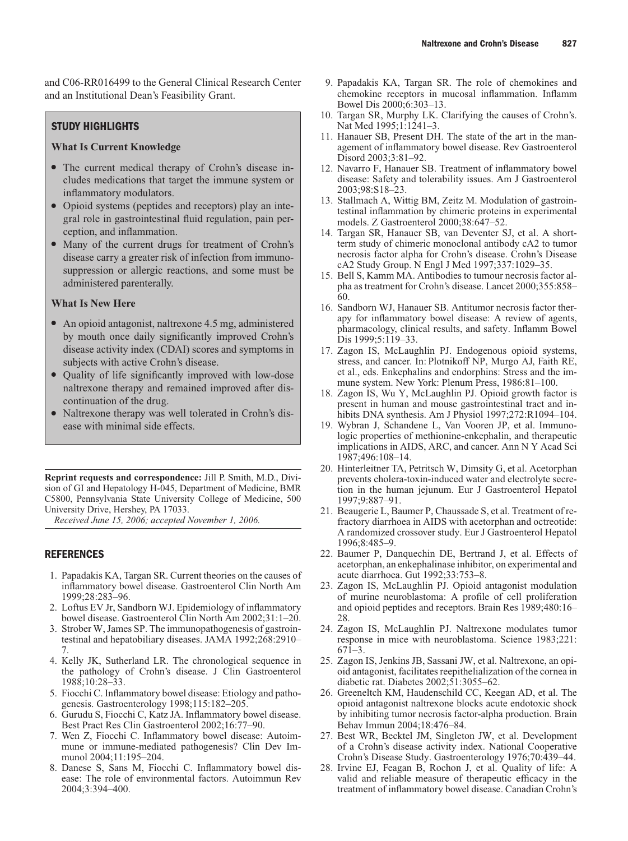and C06-RR016499 to the General Clinical Research Center and an Institutional Dean's Feasibility Grant.

## **STUDY HIGHLIGHTS**

# **What Is Current Knowledge**

- The current medical therapy of Crohn's disease includes medications that target the immune system or inflammatory modulators.<br>
• Opioid systems (peptides and receptors) play an inte-
- gral role in gastrointestinal fluid regulation, pain per-**•** Many of the current drugs for treatment of Crohn's
- disease carry a greater risk of infection from immunosuppression or allergic reactions, and some must be administered parenterally.

#### **What Is New Here**

- An opioid antagonist, naltrexone 4.5 mg, administered by mouth once daily significantly improved Crohn's disease activity index (CDAI) scores and symptoms in subjects with active Crohn's disease.<br>
• Quality of life significantly improved with low-dose
- naltrexone therapy and remained improved after discontinuation of the drug.<br>
• Naltrexone therapy was well tolerated in Crohn's dis-
- ease with minimal side effects.

**Reprint requests and correspondence:** Jill P. Smith, M.D., Division of GI and Hepatology H-045, Department of Medicine, BMR C5800, Pennsylvania State University College of Medicine, 500 University Drive, Hershey, PA 17033.

*Received June 15, 2006; accepted November 1, 2006.*

# **REFERENCES**

- 1. Papadakis KA, Targan SR. Current theories on the causes of inflammatory bowel disease. Gastroenterol Clin North Am 1999;28:283–96.
- 2. Loftus EV Jr, Sandborn WJ. Epidemiology of inflammatory bowel disease. Gastroenterol Clin North Am 2002;31:1–20.
- 3. Strober W, James SP. The immunopathogenesis of gastrointestinal and hepatobiliary diseases. JAMA 1992;268:2910– 7.
- 4. Kelly JK, Sutherland LR. The chronological sequence in the pathology of Crohn's disease. J Clin Gastroenterol 1988;10:28–33.
- 5. Fiocchi C. Inflammatory bowel disease: Etiology and pathogenesis. Gastroenterology 1998;115:182–205.
- 6. Gurudu S, Fiocchi C, Katz JA. Inflammatory bowel disease. Best Pract Res Clin Gastroenterol 2002;16:77–90.
- 7. Wen Z, Fiocchi C. Inflammatory bowel disease: Autoimmune or immune-mediated pathogenesis? Clin Dev Immunol 2004;11:195–204.
- 8. Danese S, Sans M, Fiocchi C. Inflammatory bowel disease: The role of environmental factors. Autoimmun Rev 2004;3:394–400.
- 9. Papadakis KA, Targan SR. The role of chemokines and chemokine receptors in mucosal inflammation. Inflamm Bowel Dis 2000;6:303–13.
- 10. Targan SR, Murphy LK. Clarifying the causes of Crohn's. Nat Med 1995;1:1241–3.
- 11. Hanauer SB, Present DH. The state of the art in the management of inflammatory bowel disease. Rev Gastroenterol Disord 2003;3:81–92.
- 12. Navarro F, Hanauer SB. Treatment of inflammatory bowel disease: Safety and tolerability issues. Am J Gastroenterol 2003;98:S18–23.
- 13. Stallmach A, Wittig BM, Zeitz M. Modulation of gastrointestinal inflammation by chimeric proteins in experimental models. Z Gastroenterol 2000;38:647–52.
- 14. Targan SR, Hanauer SB, van Deventer SJ, et al. A shortterm study of chimeric monoclonal antibody cA2 to tumor necrosis factor alpha for Crohn's disease. Crohn's Disease cA2 Study Group. N Engl J Med 1997;337:1029–35.
- 15. Bell S, Kamm MA. Antibodies to tumour necrosis factor alpha as treatment for Crohn's disease. Lancet 2000;355:858– 60.
- 16. Sandborn WJ, Hanauer SB. Antitumor necrosis factor therapy for inflammatory bowel disease: A review of agents, pharmacology, clinical results, and safety. Inflamm Bowel Dis 1999;5:119-33.
- 17. Zagon IS, McLaughlin PJ. Endogenous opioid systems, stress, and cancer. In: Plotnikoff NP, Murgo AJ, Faith RE, et al., eds. Enkephalins and endorphins: Stress and the immune system. New York: Plenum Press, 1986:81–100.
- 18. Zagon IS, Wu Y, McLaughlin PJ. Opioid growth factor is present in human and mouse gastrointestinal tract and inhibits DNA synthesis. Am J Physiol 1997;272:R1094–104.
- 19. Wybran J, Schandene L, Van Vooren JP, et al. Immunologic properties of methionine-enkephalin, and therapeutic implications in AIDS, ARC, and cancer. Ann N Y Acad Sci 1987;496:108–14.
- 20. Hinterleitner TA, Petritsch W, Dimsity G, et al. Acetorphan prevents cholera-toxin-induced water and electrolyte secretion in the human jejunum. Eur J Gastroenterol Hepatol 1997;9:887–91.
- 21. Beaugerie L, Baumer P, Chaussade S, et al. Treatment of refractory diarrhoea in AIDS with acetorphan and octreotide: A randomized crossover study. Eur J Gastroenterol Hepatol 1996;8:485–9.
- 22. Baumer P, Danquechin DE, Bertrand J, et al. Effects of acetorphan, an enkephalinase inhibitor, on experimental and acute diarrhoea. Gut 1992;33:753–8.
- 23. Zagon IS, McLaughlin PJ. Opioid antagonist modulation of murine neuroblastoma: A profile of cell proliferation and opioid peptides and receptors. Brain Res 1989;480:16– 28.
- 24. Zagon IS, McLaughlin PJ. Naltrexone modulates tumor response in mice with neuroblastoma. Science 1983;221: 671–3.
- 25. Zagon IS, Jenkins JB, Sassani JW, et al. Naltrexone, an opioid antagonist, facilitates reepithelialization of the cornea in diabetic rat. Diabetes 2002;51:3055–62.
- 26. Greeneltch KM, Haudenschild CC, Keegan AD, et al. The opioid antagonist naltrexone blocks acute endotoxic shock by inhibiting tumor necrosis factor-alpha production. Brain Behav Immun 2004;18:476–84.
- 27. Best WR, Becktel JM, Singleton JW, et al. Development of a Crohn's disease activity index. National Cooperative Crohn's Disease Study. Gastroenterology 1976;70:439–44.
- 28. Irvine EJ, Feagan B, Rochon J, et al. Quality of life: A valid and reliable measure of therapeutic efficacy in the treatment of inflammatory bowel disease. Canadian Crohn's